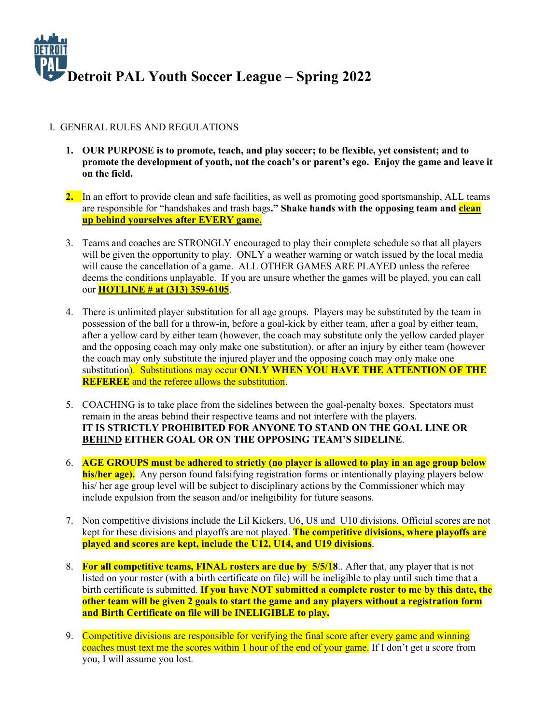

#### I. GENERAL RULES AND REGULATIONS

- **1. OUR PURPOSE is to promote, teach, and play soccer; to be flexible, yet consistent; and to promote the development of youth, not the coach's or parent's ego. Enjoy the game and leave it on the field.**
- **2.** In an effort to provide clean and safe facilities, as well as promoting good sportsmanship, ALL teams are responsible for "handshakes and trash bags**." Shake hands with the opposing team and clean up behind yourselves after EVERY game.**
- 3. Teams and coaches are STRONGLY encouraged to play their complete schedule so that all players will be given the opportunity to play. ONLY a weather warning or watch issued by the local media will cause the cancellation of a game. ALL OTHER GAMES ARE PLAYED unless the referee deems the conditions unplayable. If you are unsure whether the games will be played, you can call our **HOTLINE # at (313) 359-6105**.
- 4. There is unlimited player substitution for all age groups. Players may be substituted by the team in possession of the ball for a throw-in, before a goal-kick by either team, after a goal by either team, after a yellow card by either team (however, the coach may substitute only the yellow carded player and the opposing coach may only make one substitution), or after an injury by either team (however the coach may only substitute the injured player and the opposing coach may only make one substitution). Substitutions may occur **ONLY WHEN YOU HAVE THE ATTENTION OF THE REFEREE** and the referee allows the substitution.
- 5. COACHING is to take place from the sidelines between the goal-penalty boxes. Spectators must remain in the areas behind their respective teams and not interfere with the players. **IT IS STRICTLY PROHIBITED FOR ANYONE TO STAND ON THE GOAL LINE OR BEHIND EITHER GOAL OR ON THE OPPOSING TEAM'S SIDELINE**.
- 6. **AGE GROUPS must be adhered to strictly (no player is allowed to play in an age group below his/her age).** Any person found falsifying registration forms or intentionally playing players below his/ her age group level will be subject to disciplinary actions by the Commissioner which may include expulsion from the season and/or ineligibility for future seasons.
- 7. Non competitive divisions include the Lil Kickers, U6, U8 and U10 divisions. Official scores are not kept for these divisions and playoffs are not played. **The competitive divisions, where playoffs are played and scores are kept, include the U12, U14, and U19 divisions**.
- 8. **For all competitive teams, FINAL rosters are due by 5/5/18**.. After that, any player that is not listed on your roster (with a birth certificate on file) will be ineligible to play until such time that a birth certificate is submitted. **If you have NOT submitted a complete roster to me by this date, the other team will be given 2 goals to start the game and any players without a registration form and Birth Certificate on file will be INELIGIBLE to play.**
- 9. Competitive divisions are responsible for verifying the final score after every game and winning coaches must text me the scores within 1 hour of the end of your game. If I don't get a score from you, I will assume you lost.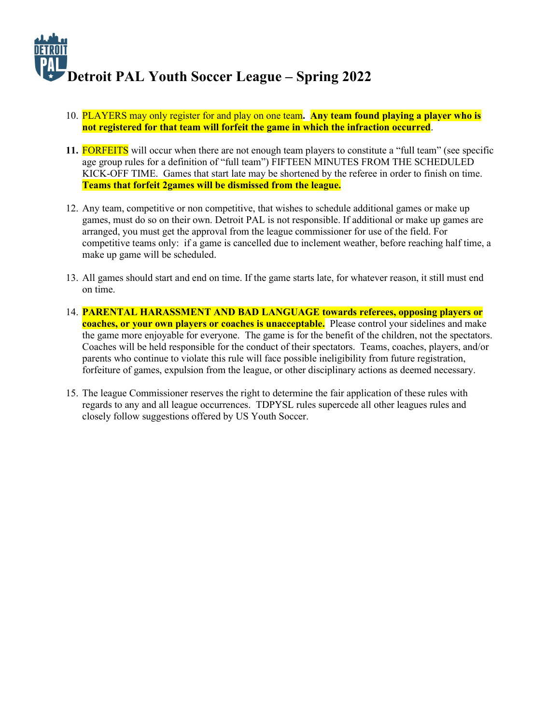

- 10. PLAYERS may only register for and play on one team**. Any team found playing a player who is not registered for that team will forfeit the game in which the infraction occurred**.
- **11.** FORFEITS will occur when there are not enough team players to constitute a "full team" (see specific age group rules for a definition of "full team") FIFTEEN MINUTES FROM THE SCHEDULED KICK-OFF TIME. Games that start late may be shortened by the referee in order to finish on time. **Teams that forfeit 2games will be dismissed from the league.**
- 12. Any team, competitive or non competitive, that wishes to schedule additional games or make up games, must do so on their own. Detroit PAL is not responsible. If additional or make up games are arranged, you must get the approval from the league commissioner for use of the field. For competitive teams only: if a game is cancelled due to inclement weather, before reaching half time, a make up game will be scheduled.
- 13. All games should start and end on time. If the game starts late, for whatever reason, it still must end on time.
- 14. **PARENTAL HARASSMENT AND BAD LANGUAGE towards referees, opposing players or coaches, or your own players or coaches is unacceptable.** Please control your sidelines and make the game more enjoyable for everyone. The game is for the benefit of the children, not the spectators. Coaches will be held responsible for the conduct of their spectators. Teams, coaches, players, and/or parents who continue to violate this rule will face possible ineligibility from future registration, forfeiture of games, expulsion from the league, or other disciplinary actions as deemed necessary.
- 15. The league Commissioner reserves the right to determine the fair application of these rules with regards to any and all league occurrences. TDPYSL rules supercede all other leagues rules and closely follow suggestions offered by US Youth Soccer.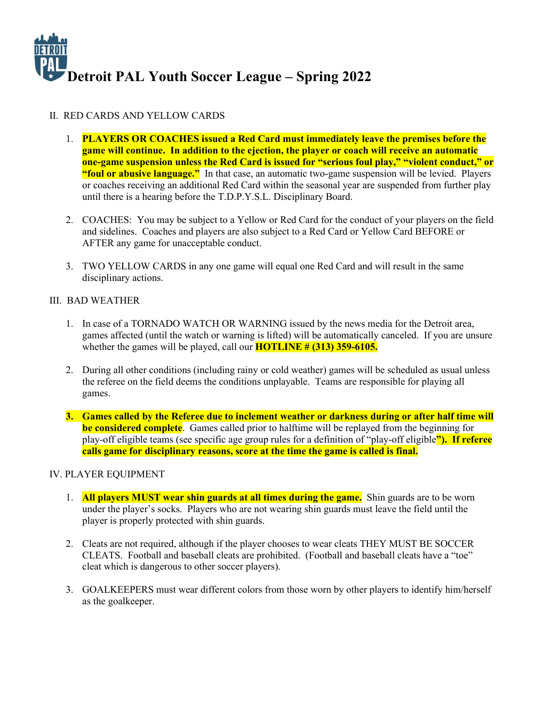

### II. RED CARDS AND YELLOW CARDS

- 1. **PLAYERS OR COACHES issued a Red Card must immediately leave the premises before the game will continue. In addition to the ejection, the player or coach will receive an automatic one-game suspension unless the Red Card is issued for "serious foul play," "violent conduct," or "foul or abusive language."** In that case, an automatic two-game suspension will be levied. Players or coaches receiving an additional Red Card within the seasonal year are suspended from further play until there is a hearing before the T.D.P.Y.S.L. Disciplinary Board.
- 2. COACHES: You may be subject to a Yellow or Red Card for the conduct of your players on the field and sidelines. Coaches and players are also subject to a Red Card or Yellow Card BEFORE or AFTER any game for unacceptable conduct.
- 3. TWO YELLOW CARDS in any one game will equal one Red Card and will result in the same disciplinary actions.

#### III. BAD WEATHER

- 1. In case of a TORNADO WATCH OR WARNING issued by the news media for the Detroit area, games affected (until the watch or warning is lifted) will be automatically canceled. If you are unsure whether the games will be played, call our **HOTLINE # (313) 359-6105.**
- 2. During all other conditions (including rainy or cold weather) games will be scheduled as usual unless the referee on the field deems the conditions unplayable. Teams are responsible for playing all games.
- **3. Games called by the Referee due to inclement weather or darkness during or after half time will be considered complete**. Games called prior to halftime will be replayed from the beginning for play-off eligible teams (see specific age group rules for a definition of "play-off eligible**"). If referee calls game for disciplinary reasons, score at the time the game is called is final.**

#### IV. PLAYER EQUIPMENT

- 1. **All players MUST wear shin guards at all times during the game.** Shin guards are to be worn under the player's socks. Players who are not wearing shin guards must leave the field until the player is properly protected with shin guards.
- 2. Cleats are not required, although if the player chooses to wear cleats THEY MUST BE SOCCER CLEATS. Football and baseball cleats are prohibited. (Football and baseball cleats have a "toe" cleat which is dangerous to other soccer players).
- 3. GOALKEEPERS must wear different colors from those worn by other players to identify him/herself as the goalkeeper.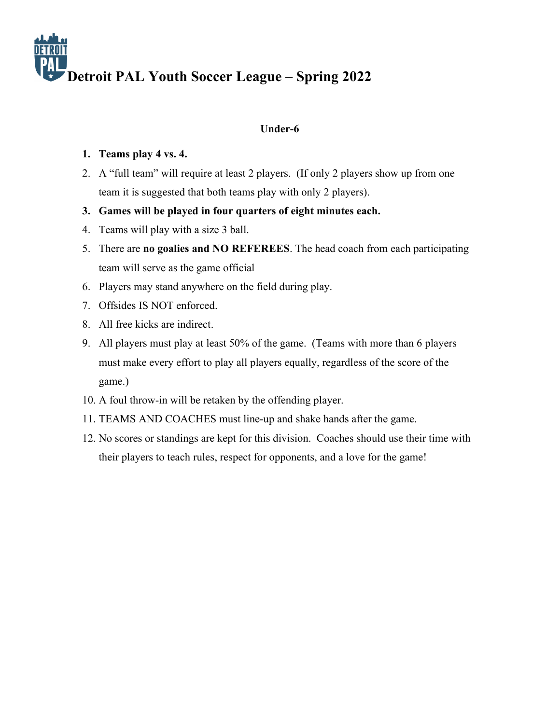## **Under-6**

## **1. Teams play 4 vs. 4.**

- 2. A "full team" will require at least 2 players. (If only 2 players show up from one team it is suggested that both teams play with only 2 players).
- **3. Games will be played in four quarters of eight minutes each.**
- 4. Teams will play with a size 3 ball.
- 5. There are **no goalies and NO REFEREES**. The head coach from each participating team will serve as the game official
- 6. Players may stand anywhere on the field during play.
- 7. Offsides IS NOT enforced.
- 8. All free kicks are indirect.
- 9. All players must play at least 50% of the game. (Teams with more than 6 players must make every effort to play all players equally, regardless of the score of the game.)
- 10. A foul throw-in will be retaken by the offending player.
- 11. TEAMS AND COACHES must line-up and shake hands after the game.
- 12. No scores or standings are kept for this division. Coaches should use their time with their players to teach rules, respect for opponents, and a love for the game!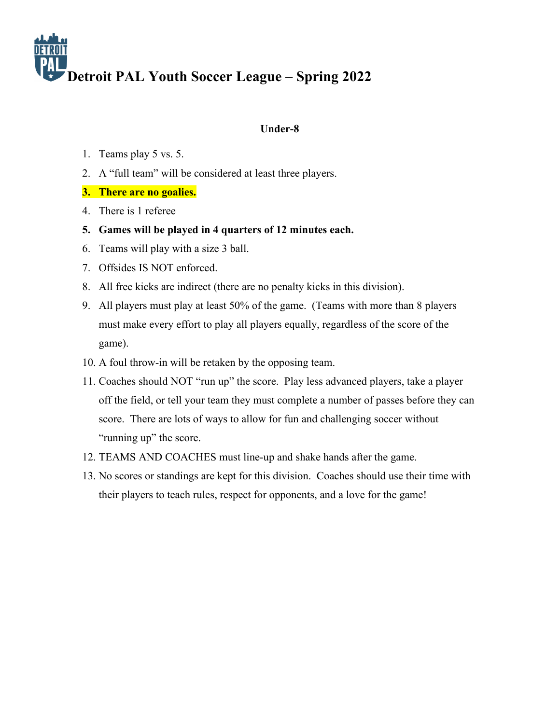

### **Under-8**

- 1. Teams play 5 vs. 5.
- 2. A "full team" will be considered at least three players.
- **3. There are no goalies.**
- 4. There is 1 referee
- **5. Games will be played in 4 quarters of 12 minutes each.**
- 6. Teams will play with a size 3 ball.
- 7. Offsides IS NOT enforced.
- 8. All free kicks are indirect (there are no penalty kicks in this division).
- 9. All players must play at least 50% of the game. (Teams with more than 8 players must make every effort to play all players equally, regardless of the score of the game).
- 10. A foul throw-in will be retaken by the opposing team.
- 11. Coaches should NOT "run up" the score. Play less advanced players, take a player off the field, or tell your team they must complete a number of passes before they can score. There are lots of ways to allow for fun and challenging soccer without "running up" the score.
- 12. TEAMS AND COACHES must line-up and shake hands after the game.
- 13. No scores or standings are kept for this division. Coaches should use their time with their players to teach rules, respect for opponents, and a love for the game!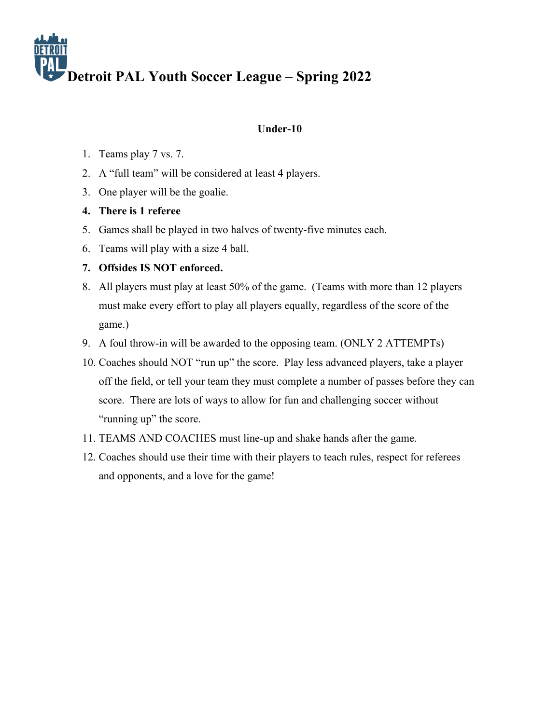## **Under-10**

- 1. Teams play 7 vs. 7.
- 2. A "full team" will be considered at least 4 players.
- 3. One player will be the goalie.
- **4. There is 1 referee**
- 5. Games shall be played in two halves of twenty-five minutes each.
- 6. Teams will play with a size 4 ball.

## **7. Offsides IS NOT enforced.**

- 8. All players must play at least 50% of the game. (Teams with more than 12 players must make every effort to play all players equally, regardless of the score of the game.)
- 9. A foul throw-in will be awarded to the opposing team. (ONLY 2 ATTEMPTs)
- 10. Coaches should NOT "run up" the score. Play less advanced players, take a player off the field, or tell your team they must complete a number of passes before they can score. There are lots of ways to allow for fun and challenging soccer without "running up" the score.
- 11. TEAMS AND COACHES must line-up and shake hands after the game.
- 12. Coaches should use their time with their players to teach rules, respect for referees and opponents, and a love for the game!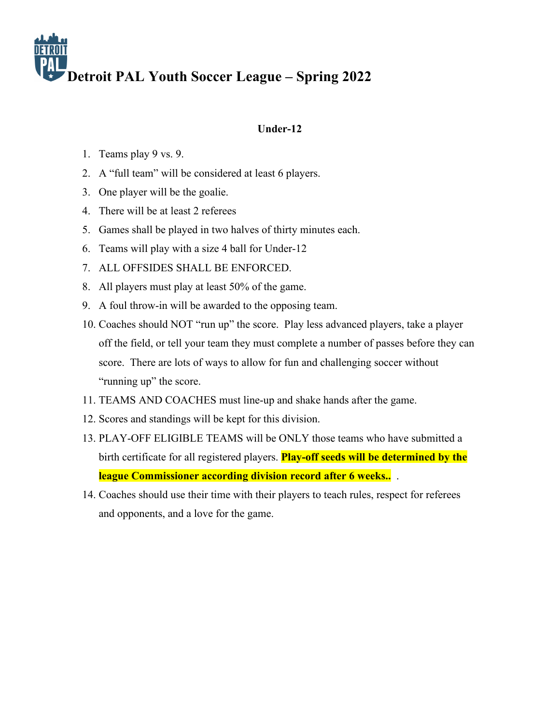# **Under-12**

- 1. Teams play 9 vs. 9.
- 2. A "full team" will be considered at least 6 players.
- 3. One player will be the goalie.
- 4. There will be at least 2 referees
- 5. Games shall be played in two halves of thirty minutes each.
- 6. Teams will play with a size 4 ball for Under-12
- 7. ALL OFFSIDES SHALL BE ENFORCED.
- 8. All players must play at least 50% of the game.
- 9. A foul throw-in will be awarded to the opposing team.
- 10. Coaches should NOT "run up" the score. Play less advanced players, take a player off the field, or tell your team they must complete a number of passes before they can score. There are lots of ways to allow for fun and challenging soccer without "running up" the score.
- 11. TEAMS AND COACHES must line-up and shake hands after the game.
- 12. Scores and standings will be kept for this division.
- 13. PLAY-OFF ELIGIBLE TEAMS will be ONLY those teams who have submitted a birth certificate for all registered players. **Play-off seeds will be determined by the league Commissioner according division record after 6 weeks..** .
- 14. Coaches should use their time with their players to teach rules, respect for referees and opponents, and a love for the game.